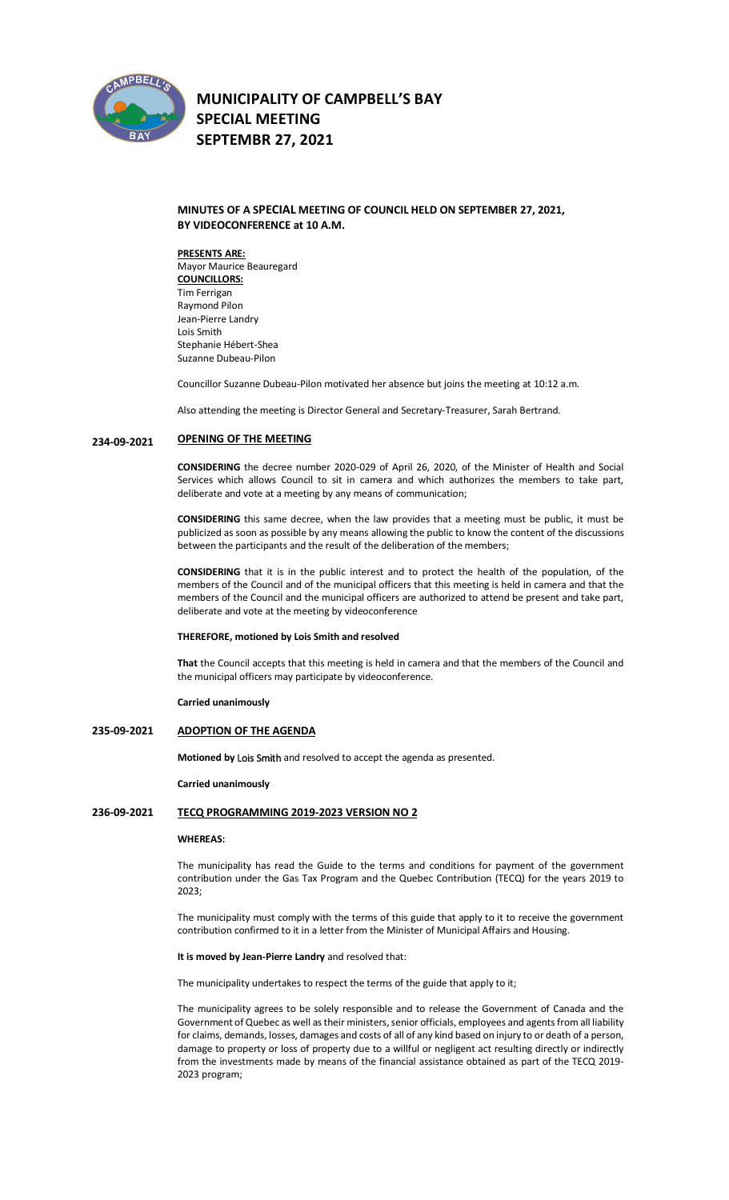

# **MUNICIPALITY OF CAMPBELL'S BAY SPECIAL MEETING SEPTEMBR 27, 2021**

## **MINUTES OF A SPECIAL MEETING OF COUNCIL HELD ON SEPTEMBER 27, 2021, BY VIDEOCONFERENCE at 10 A.M.**

**PRESENTS ARE:**  Mayor Maurice Beauregard **COUNCILLORS:** Tim Ferrigan Raymond Pilon Jean-Pierre Landry Lois Smith Stephanie Hébert-Shea Suzanne Dubeau-Pilon

Councillor Suzanne Dubeau-Pilon motivated her absence but joins the meeting at 10:12 a.m.

Also attending the meeting is Director General and Secretary-Treasurer, Sarah Bertrand.

#### **234-09-2021 OPENING OF THE MEETING**

**CONSIDERING** the decree number 2020-029 of April 26, 2020, of the Minister of Health and Social Services which allows Council to sit in camera and which authorizes the members to take part, deliberate and vote at a meeting by any means of communication;

**CONSIDERING** this same decree, when the law provides that a meeting must be public, it must be publicized as soon as possible by any means allowing the public to know the content of the discussions between the participants and the result of the deliberation of the members;

**CONSIDERING** that it is in the public interest and to protect the health of the population, of the members of the Council and of the municipal officers that this meeting is held in camera and that the members of the Council and the municipal officers are authorized to attend be present and take part, deliberate and vote at the meeting by videoconference

### **THEREFORE, motioned by Lois Smith and resolved**

**That** the Council accepts that this meeting is held in camera and that the members of the Council and the municipal officers may participate by videoconference.

#### **Carried unanimously**

#### **235-09-2021 ADOPTION OF THE AGENDA**

**Motioned by Lois Smith** and resolved to accept the agenda as presented.

#### **Carried unanimously**

### **236-09-2021 TECQ PROGRAMMING 2019-2023 VERSION NO 2**

#### **WHEREAS:**

The municipality has read the Guide to the terms and conditions for payment of the government contribution under the Gas Tax Program and the Quebec Contribution (TECQ) for the years 2019 to 2023;

The municipality must comply with the terms of this guide that apply to it to receive the government contribution confirmed to it in a letter from the Minister of Municipal Affairs and Housing.

#### **It is moved by Jean-Pierre Landry** and resolved that:

The municipality undertakes to respect the terms of the guide that apply to it;

The municipality agrees to be solely responsible and to release the Government of Canada and the Government of Quebec as well as their ministers, senior officials, employees and agents from all liability for claims, demands, losses, damages and costs of all of any kind based on injury to or death of a person, damage to property or loss of property due to a willful or negligent act resulting directly or indirectly from the investments made by means of the financial assistance obtained as part of the TECQ 2019- 2023 program;